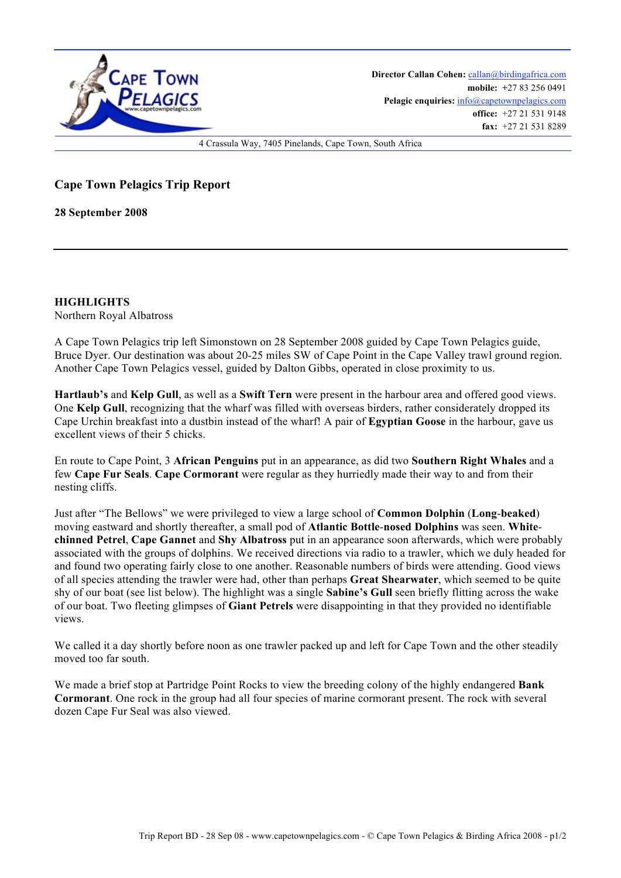

**Director Callan Cohen:** callan@birdingafrica.com **mobile: +**27 83 256 0491 Pelagic enquiries:  $info@capetownpelagics.com$ **office:** +27 21 531 9148 **fax:** +27 21 531 8289

4 Crassula Way, 7405 Pinelands, Cape Town, South Africa

## **Cape Town Pelagics Trip Report**

**28 September 2008**

**HIGHLIGHTS** Northern Royal Albatross

A Cape Town Pelagics trip left Simonstown on 28 September 2008 guided by Cape Town Pelagics guide, Bruce Dyer. Our destination was about 20-25 miles SW of Cape Point in the Cape Valley trawl ground region. Another Cape Town Pelagics vessel, guided by Dalton Gibbs, operated in close proximity to us.

**Hartlaub's** and **Kelp Gull**, as well as a **Swift Tern** were present in the harbour area and offered good views. One **Kelp Gull**, recognizing that the wharf was filled with overseas birders, rather considerately dropped its Cape Urchin breakfast into a dustbin instead of the wharf! A pair of **Egyptian Goose** in the harbour, gave us excellent views of their 5 chicks.

En route to Cape Point, 3 **African Penguins** put in an appearance, as did two **Southern Right Whales** and a few **Cape Fur Seals**. **Cape Cormorant** were regular as they hurriedly made their way to and from their nesting cliffs.

Just after "The Bellows" we were privileged to view a large school of **Common Dolphin** (**Long**-**beaked**) moving eastward and shortly thereafter, a small pod of **Atlantic Bottle**-**nosed Dolphins** was seen. **Whitechinned Petrel**, **Cape Gannet** and **Shy Albatross** put in an appearance soon afterwards, which were probably associated with the groups of dolphins. We received directions via radio to a trawler, which we duly headed for and found two operating fairly close to one another. Reasonable numbers of birds were attending. Good views of all species attending the trawler were had, other than perhaps **Great Shearwater**, which seemed to be quite shy of our boat (see list below). The highlight was a single **Sabine's Gull** seen briefly flitting across the wake of our boat. Two fleeting glimpses of **Giant Petrels** were disappointing in that they provided no identifiable views.

We called it a day shortly before noon as one trawler packed up and left for Cape Town and the other steadily moved too far south.

We made a brief stop at Partridge Point Rocks to view the breeding colony of the highly endangered **Bank Cormorant**. One rock in the group had all four species of marine cormorant present. The rock with several dozen Cape Fur Seal was also viewed.